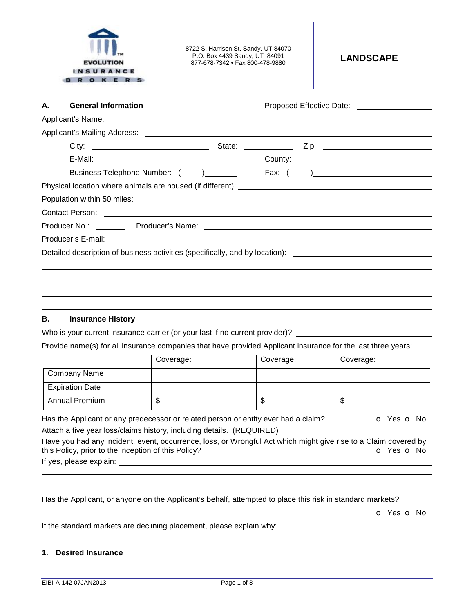

8722 S. Harrison St. Sandy, UT 84070 P.O. Box 4439 Sandy, UT 84091 P.O. Box 4439 Sandy, UT 84091<br>877-678-7342 • Fax 800-478-9880

| А. | <b>General Information</b>                                                                                    |  |
|----|---------------------------------------------------------------------------------------------------------------|--|
|    |                                                                                                               |  |
|    |                                                                                                               |  |
|    |                                                                                                               |  |
|    |                                                                                                               |  |
|    | Business Telephone Number: ()                                                                                 |  |
|    |                                                                                                               |  |
|    |                                                                                                               |  |
|    |                                                                                                               |  |
|    |                                                                                                               |  |
|    |                                                                                                               |  |
|    | Detailed description of business activities (specifically, and by location): ________________________________ |  |
|    |                                                                                                               |  |
|    |                                                                                                               |  |
|    |                                                                                                               |  |

### **B. Insurance History**

Who is your current insurance carrier (or your last if no current provider)?

Provide name(s) for all insurance companies that have provided Applicant insurance for the last three years:

|                        | Coverage: | Coverage: | Coverage: |
|------------------------|-----------|-----------|-----------|
| Company Name           |           |           |           |
| <b>Expiration Date</b> |           |           |           |
| <b>Annual Premium</b>  | ጦ<br>Φ    | Φ         | ѡ         |

Has the Applicant or any predecessor or related person or entity ever had a claim?  $\bullet$  Yes  $\bullet$  No Attach a five year loss/claims history, including details. (REQUIRED)

Have you had any incident, event, occurrence, loss, or Wrongful Act which might give rise to a Claim covered by this Policy, prior to the inception of this Policy? **o Yes o No** 

If yes, please explain:

Has the Applicant, or anyone on the Applicant's behalf, attempted to place this risk in standard markets?

o Yes o No

If the standard markets are declining placement, please explain why:

### **1. Desired Insurance**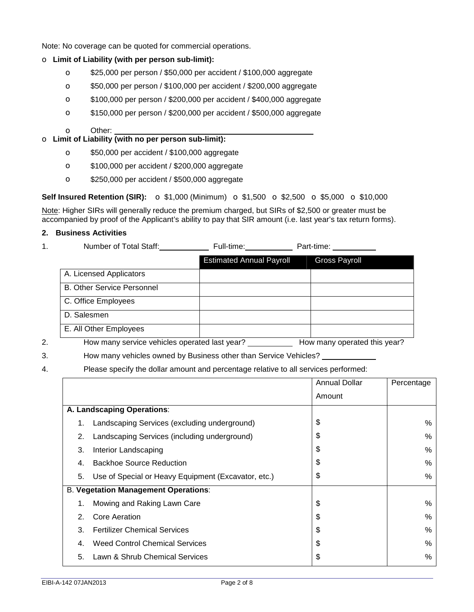Note: No coverage can be quoted for commercial operations.

## o **Limit of Liability (with per person sub-limit):**

- o \$25,000 per person / \$50,000 per accident / \$100,000 aggregate
- o \$50,000 per person / \$100,000 per accident / \$200,000 aggregate
- o \$100,000 per person / \$200,000 per accident / \$400,000 aggregate
- o \$150,000 per person / \$200,000 per accident / \$500,000 aggregate
- o Other:

### o **Limit of Liability (with no per person sub-limit):**

- o \$50,000 per accident / \$100,000 aggregate
- o \$100,000 per accident / \$200,000 aggregate
- o \$250,000 per accident / \$500,000 aggregate

# **Self Insured Retention (SIR):** o \$1,000 (Minimum) o \$1,500 o \$2,500 o \$5,000 o \$10,000

Note: Higher SIRs will generally reduce the premium charged, but SIRs of \$2,500 or greater must be accompanied by proof of the Applicant's ability to pay that SIR amount (i.e. last year's tax return forms).

### **2. Business Activities**

1. Number of Total Staff: Full-time: Part-time:

|    |                                               | <b>Estimated Annual Payroll</b> | <b>Gross Payroll</b>         |
|----|-----------------------------------------------|---------------------------------|------------------------------|
|    | A. Licensed Applicators                       |                                 |                              |
|    | <b>B. Other Service Personnel</b>             |                                 |                              |
|    | C. Office Employees                           |                                 |                              |
|    | D. Salesmen                                   |                                 |                              |
|    | E. All Other Employees                        |                                 |                              |
| 2. | How many service vehicles operated last year? |                                 | How many operated this year? |

3. How many vehicles owned by Business other than Service Vehicles?

4. Please specify the dollar amount and percentage relative to all services performed:

|    |                                                     | <b>Annual Dollar</b> | Percentage |
|----|-----------------------------------------------------|----------------------|------------|
|    |                                                     | Amount               |            |
|    | A. Landscaping Operations:                          |                      |            |
| 1. | Landscaping Services (excluding underground)        | \$                   | $\%$       |
| 2. | Landscaping Services (including underground)        | \$                   | $\%$       |
| 3. | Interior Landscaping                                | \$                   | $\%$       |
| 4. | <b>Backhoe Source Reduction</b>                     | \$                   | $\%$       |
| 5. | Use of Special or Heavy Equipment (Excavator, etc.) | \$                   | $\%$       |
|    | <b>B. Vegetation Management Operations:</b>         |                      |            |
| 1. | Mowing and Raking Lawn Care                         | \$                   | $\%$       |
| 2. | Core Aeration                                       | \$                   | $\%$       |
| 3. | <b>Fertilizer Chemical Services</b>                 | \$                   | %          |
| 4. | <b>Weed Control Chemical Services</b>               | \$                   | $\%$       |
| 5. | Lawn & Shrub Chemical Services                      | \$                   | $\%$       |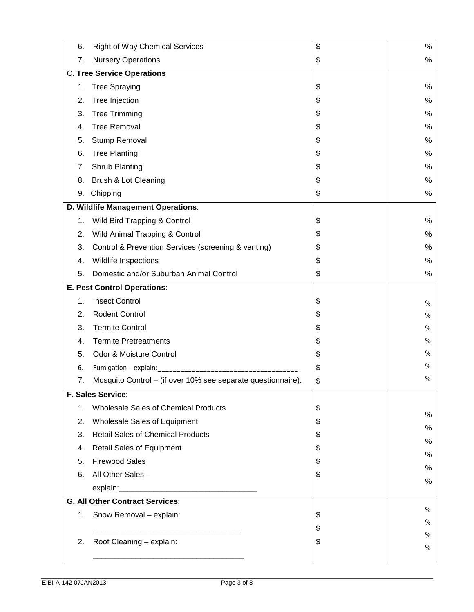| 6.            | <b>Right of Way Chemical Services</b>                        | $\overline{\mathbf{3}}$ | $\%$   |  |  |
|---------------|--------------------------------------------------------------|-------------------------|--------|--|--|
| 7.            | <b>Nursery Operations</b>                                    | \$                      | $\%$   |  |  |
|               | <b>C. Tree Service Operations</b>                            |                         |        |  |  |
| 1.            | <b>Tree Spraying</b>                                         | \$                      | $\%$   |  |  |
| 2.            | Tree Injection                                               | \$                      | $\%$   |  |  |
| 3.            | <b>Tree Trimming</b>                                         | \$                      | %      |  |  |
| 4.            | <b>Tree Removal</b>                                          | \$                      | %      |  |  |
| 5.            | Stump Removal                                                | \$                      | %      |  |  |
| 6.            | <b>Tree Planting</b>                                         | \$                      | $\%$   |  |  |
| 7.            | Shrub Planting                                               | \$                      | %      |  |  |
| 8.            | Brush & Lot Cleaning                                         | \$                      | $\%$   |  |  |
| 9.            | Chipping                                                     | \$                      | %      |  |  |
|               | D. Wildlife Management Operations:                           |                         |        |  |  |
| 1.            | Wild Bird Trapping & Control                                 | \$                      | $\%$   |  |  |
| 2.            | Wild Animal Trapping & Control                               | \$                      | %      |  |  |
| 3.            | Control & Prevention Services (screening & venting)          | \$                      | %      |  |  |
| 4.            | Wildlife Inspections                                         | \$                      | %      |  |  |
| 5.            | Domestic and/or Suburban Animal Control                      | \$                      | $\%$   |  |  |
|               | E. Pest Control Operations:                                  |                         |        |  |  |
| 1.            | <b>Insect Control</b>                                        | \$                      | %      |  |  |
| 2.            | Rodent Control                                               | \$                      | $\%$   |  |  |
| 3.            | <b>Termite Control</b>                                       | \$                      | %      |  |  |
| 4.            | <b>Termite Pretreatments</b>                                 | \$                      | %      |  |  |
| 5.            | Odor & Moisture Control                                      | \$                      | %      |  |  |
| 6.            |                                                              | \$                      | $\%$   |  |  |
| 7.            | Mosquito Control - (if over 10% see separate questionnaire). | \$                      | %      |  |  |
|               | F. Sales Service:                                            |                         |        |  |  |
| $\mathbf 1$ . | <b>Wholesale Sales of Chemical Products</b>                  | \$                      | $\%$   |  |  |
| 2.            | Wholesale Sales of Equipment                                 | \$                      |        |  |  |
| 3.            | <b>Retail Sales of Chemical Products</b>                     | \$                      | $\%$   |  |  |
| 4.            | <b>Retail Sales of Equipment</b>                             | \$                      | %<br>% |  |  |
| 5.            | <b>Firewood Sales</b>                                        | \$                      |        |  |  |
| 6.            | All Other Sales -                                            | \$                      | %      |  |  |
|               |                                                              |                         | %      |  |  |
|               | <b>G. All Other Contract Services:</b>                       |                         |        |  |  |
| 1.            | Snow Removal - explain:                                      | \$                      | %      |  |  |
|               |                                                              | \$                      | %      |  |  |
| 2.            | Roof Cleaning - explain:                                     | \$                      | %      |  |  |
|               |                                                              |                         | $\%$   |  |  |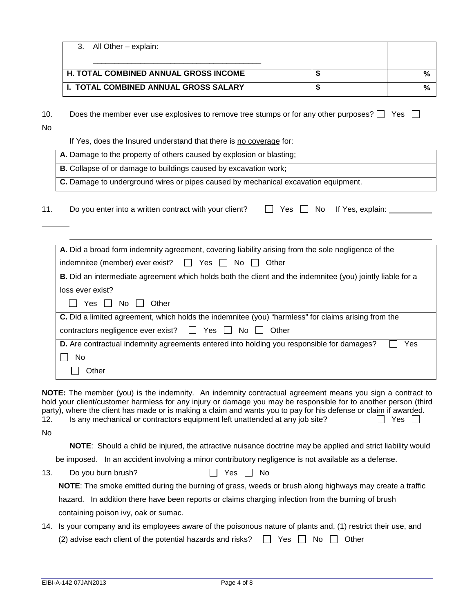| All Other - explain:                                                                                                                         |                                |     |
|----------------------------------------------------------------------------------------------------------------------------------------------|--------------------------------|-----|
| H. TOTAL COMBINED ANNUAL GROSS INCOME                                                                                                        | \$                             |     |
| <b>I. TOTAL COMBINED ANNUAL GROSS SALARY</b>                                                                                                 | \$                             |     |
| Does the member ever use explosives to remove tree stumps or for any other purposes? $\square$                                               |                                | Yes |
| If Yes, does the Insured understand that there is no coverage for:                                                                           |                                |     |
| A. Damage to the property of others caused by explosion or blasting;                                                                         |                                |     |
| B. Collapse of or damage to buildings caused by excavation work;                                                                             |                                |     |
|                                                                                                                                              |                                |     |
| C. Damage to underground wires or pipes caused by mechanical excavation equipment.<br>Do you enter into a written contract with your client? | Yes $\Box$ No If Yes, explain: |     |
|                                                                                                                                              |                                |     |
| A. Did a broad form indemnity agreement, covering liability arising from the sole negligence of the                                          |                                |     |
| indemnitee (member) ever exist?<br>$\Box$ Yes $\Box$ No $\Box$ Other                                                                         |                                |     |
| B. Did an intermediate agreement which holds both the client and the indemnitee (you) jointly liable for a                                   |                                |     |
| loss ever exist?                                                                                                                             |                                |     |
| Yes $\Box$ No<br>Other                                                                                                                       |                                |     |
| C. Did a limited agreement, which holds the indemnitee (you) "harmless" for claims arising from the                                          |                                |     |
| Yes $\Box$ No $\Box$<br>contractors negligence ever exist?<br>Other<br>$\mathbf{1}$                                                          |                                |     |
| D. Are contractual indemnity agreements entered into holding you responsible for damages?<br>No                                              |                                | Yes |

**NOTE:** The member (you) is the indemnity. An indemnity contractual agreement means you sign a contract to hold your client/customer harmless for any injury or damage you may be responsible for to another person (third party), where the client has made or is making a claim and wants you to pay for his defense or claim if awarded. 12. Is any mechanical or contractors equipment left unattended at any job site?  $\Box$  Yes  $\Box$ No

**NOTE**: Should a child be injured, the attractive nuisance doctrine may be applied and strict liability would

be imposed. In an accident involving a minor contributory negligence is not available as a defense.

13. Do you burn brush? <br>
No

**NOTE**: The smoke emitted during the burning of grass, weeds or brush along highways may create a traffic

hazard. In addition there have been reports or claims charging infection from the burning of brush containing poison ivy, oak or sumac.

14. Is your company and its employees aware of the poisonous nature of plants and, (1) restrict their use, and

(2) advise each client of the potential hazards and risks?  $\Box$  Yes  $\Box$  No  $\Box$  Other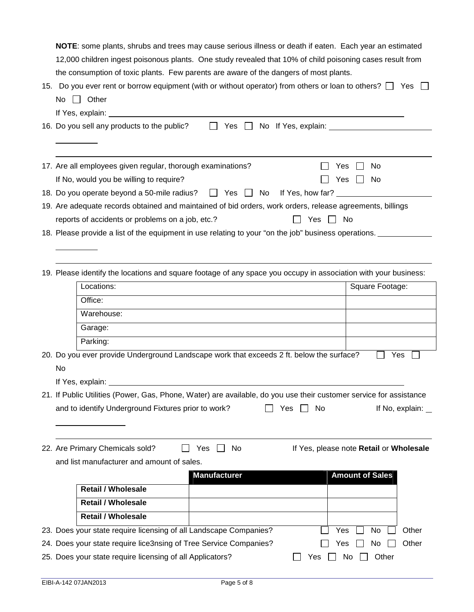**NOTE**: some plants, shrubs and trees may cause serious illness or death if eaten. Each year an estimated 12,000 children ingest poisonous plants. One study revealed that 10% of child poisoning cases result from the consumption of toxic plants. Few parents are aware of the dangers of most plants.

| 15. Do you ever rent or borrow equipment (with or without operator) from others or loan to others? $\Box$ Yes $\Box$ |  |
|----------------------------------------------------------------------------------------------------------------------|--|
| No $\Box$ Other                                                                                                      |  |

| If Yes, explain:                                                                                          |
|-----------------------------------------------------------------------------------------------------------|
| 16. Do you sell any products to the public?<br>No If Yes, explain:<br>Yes II                              |
|                                                                                                           |
| 17. Are all employees given regular, thorough examinations?<br>Yes.<br>No.                                |
| Yes<br>If No, would you be willing to require?<br>No.                                                     |
|                                                                                                           |
| 19. Are adequate records obtained and maintained of bid orders, work orders, release agreements, billings |
| reports of accidents or problems on a job, etc.?<br>Yes<br>No                                             |

18. Please provide a list of the equipment in use relating to your "on the job" business operations. \_\_\_\_\_\_\_\_\_

19. Please identify the locations and square footage of any space you occupy in association with your business:

|     | Locations:                                                                                                         | Square Footage:                          |
|-----|--------------------------------------------------------------------------------------------------------------------|------------------------------------------|
|     | Office:                                                                                                            |                                          |
|     | Warehouse:                                                                                                         |                                          |
|     | Garage:                                                                                                            |                                          |
|     | Parking:                                                                                                           |                                          |
|     | 20. Do you ever provide Underground Landscape work that exceeds 2 ft. below the surface?                           | Yes                                      |
| No. |                                                                                                                    |                                          |
|     | If Yes, explain: _____                                                                                             |                                          |
|     | 21. If Public Utilities (Power, Gas, Phone, Water) are available, do you use their customer service for assistance |                                          |
|     | and to identify Underground Fixtures prior to work?<br>No.<br>Yes                                                  | If No, explain: $\overline{\phantom{a}}$ |
|     |                                                                                                                    |                                          |

22. Are Primary Chemicals sold? □ Yes □ No If Yes, please note **Retail** or **Wholesale** 

| If Yes, please note Retail or Wholesa |
|---------------------------------------|
|---------------------------------------|

and list manufacturer and amount of sales.

|                                                                   | <b>Manufacturer</b> |     | <b>Amount of Sales</b> |       |
|-------------------------------------------------------------------|---------------------|-----|------------------------|-------|
| <b>Retail / Wholesale</b>                                         |                     |     |                        |       |
| <b>Retail / Wholesale</b>                                         |                     |     |                        |       |
| <b>Retail / Wholesale</b>                                         |                     |     |                        |       |
| 23. Does your state require licensing of all Landscape Companies? |                     |     | Yes<br>No.             | Other |
| 24. Does your state require lice3nsing of Tree Service Companies? |                     |     | Yes<br>No.             | Other |
| 25. Does your state require licensing of all Applicators?         |                     | Yes | Other<br>No.           |       |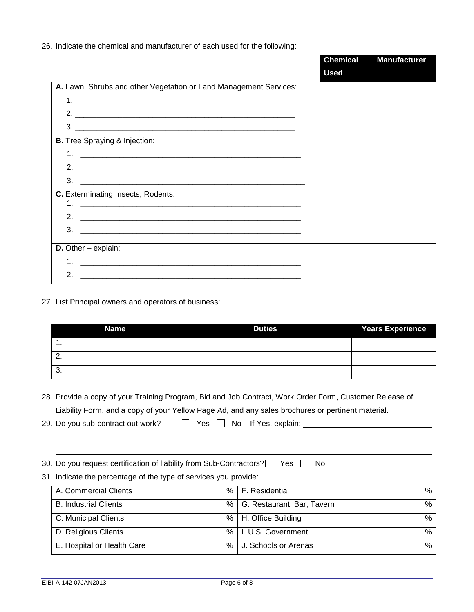26. Indicate the chemical and manufacturer of each used for the following:

|                                                                                                                                 | <b>Chemical</b> | <b>Manufacturer</b> |
|---------------------------------------------------------------------------------------------------------------------------------|-----------------|---------------------|
|                                                                                                                                 | <b>Used</b>     |                     |
| A. Lawn, Shrubs and other Vegetation or Land Management Services:                                                               |                 |                     |
|                                                                                                                                 |                 |                     |
| 2.                                                                                                                              |                 |                     |
|                                                                                                                                 |                 |                     |
| <b>B.</b> Tree Spraying & Injection:                                                                                            |                 |                     |
| 1 <sub>1</sub>                                                                                                                  |                 |                     |
| 2.                                                                                                                              |                 |                     |
| $\mathbf{3}$ .                                                                                                                  |                 |                     |
| C. Exterminating Insects, Rodents:                                                                                              |                 |                     |
| <u> 2000 - Jan James James James James James James James James James James James James James James James James J</u><br>$1_{-}$ |                 |                     |
|                                                                                                                                 |                 |                     |
| 3.                                                                                                                              |                 |                     |
| <b>D.</b> Other $-$ explain:                                                                                                    |                 |                     |
| <u> 1980 - John Stein, Amerikaansk politiker (* 1908)</u>                                                                       |                 |                     |
| 2.                                                                                                                              |                 |                     |

27. List Principal owners and operators of business:

| <b>Name</b> | _<br><b>Duties</b> | __<br><b>Years Experience</b> |  |  |  |  |  |
|-------------|--------------------|-------------------------------|--|--|--|--|--|
| . .         |                    |                               |  |  |  |  |  |
| <u>.</u>    |                    |                               |  |  |  |  |  |
| ູບ.         |                    |                               |  |  |  |  |  |

28. Provide a copy of your Training Program, Bid and Job Contract, Work Order Form, Customer Release of Liability Form, and a copy of your Yellow Page Ad, and any sales brochures or pertinent material.

| 29. Do you sub-contract out work? | $\Box$ Yes $\Box$ No If Yes, explain: |
|-----------------------------------|---------------------------------------|
|-----------------------------------|---------------------------------------|

30. Do you request certification of liability from Sub-Contractors? $\Box$  Yes  $\Box$  No

# 31. Indicate the percentage of the type of services you provide:

| A. Commercial Clients        | % । | F. Residential             | %    |
|------------------------------|-----|----------------------------|------|
| <b>B.</b> Industrial Clients | %   | G. Restaurant, Bar, Tavern | %    |
| C. Municipal Clients         | $%$ | H. Office Building         | %    |
| D. Religious Clients         |     | %   I. U.S. Government     | $\%$ |
| E. Hospital or Health Care   | %   | J. Schools or Arenas       | $\%$ |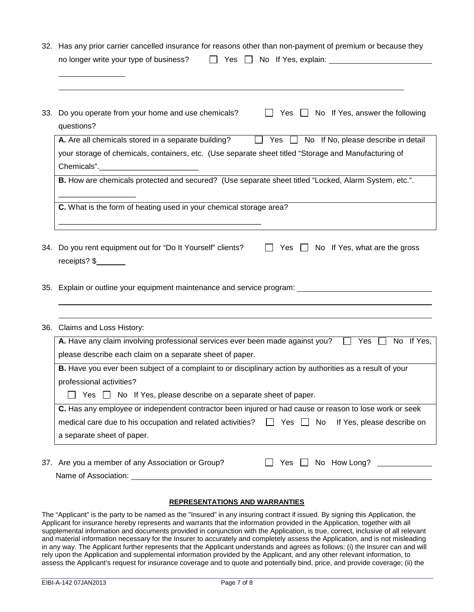|  | 32. Has any prior carrier cancelled insurance for reasons other than non-payment of premium or because they      |  |  |  |  |  |  |
|--|------------------------------------------------------------------------------------------------------------------|--|--|--|--|--|--|
|  |                                                                                                                  |  |  |  |  |  |  |
|  |                                                                                                                  |  |  |  |  |  |  |
|  |                                                                                                                  |  |  |  |  |  |  |
|  |                                                                                                                  |  |  |  |  |  |  |
|  |                                                                                                                  |  |  |  |  |  |  |
|  | 33. Do you operate from your home and use chemicals?<br>$\Box$ Yes $\Box$ No If Yes, answer the following        |  |  |  |  |  |  |
|  | questions?                                                                                                       |  |  |  |  |  |  |
|  |                                                                                                                  |  |  |  |  |  |  |
|  | <b>A.</b> Are all chemicals stored in a separate building? $\Box$ Yes $\Box$ No If No, please describe in detail |  |  |  |  |  |  |
|  | your storage of chemicals, containers, etc. (Use separate sheet titled "Storage and Manufacturing of             |  |  |  |  |  |  |
|  |                                                                                                                  |  |  |  |  |  |  |
|  | B. How are chemicals protected and secured? (Use separate sheet titled "Locked, Alarm System, etc.".             |  |  |  |  |  |  |
|  |                                                                                                                  |  |  |  |  |  |  |
|  |                                                                                                                  |  |  |  |  |  |  |
|  | <b>C.</b> What is the form of heating used in your chemical storage area?                                        |  |  |  |  |  |  |
|  |                                                                                                                  |  |  |  |  |  |  |
|  |                                                                                                                  |  |  |  |  |  |  |
|  |                                                                                                                  |  |  |  |  |  |  |
|  | 34. Do you rent equipment out for "Do It Yourself" clients?<br>No If Yes, what are the gross<br>Yes              |  |  |  |  |  |  |

receipts? \$

35. Explain or outline your equipment maintenance and service program:

# 36. Claims and Loss History:

| A. Have any claim involving professional services ever been made against you?                                    |     |     | Yes                        |  | No If Yes. |
|------------------------------------------------------------------------------------------------------------------|-----|-----|----------------------------|--|------------|
|                                                                                                                  |     |     |                            |  |            |
| please describe each claim on a separate sheet of paper.                                                         |     |     |                            |  |            |
| <b>B.</b> Have you ever been subject of a complaint to or disciplinary action by authorities as a result of your |     |     |                            |  |            |
| professional activities?                                                                                         |     |     |                            |  |            |
| Yes No If Yes, please describe on a separate sheet of paper.                                                     |     |     |                            |  |            |
| C. Has any employee or independent contractor been injured or had cause or reason to lose work or seek           |     |     |                            |  |            |
| medical care due to his occupation and related activities? $\Box$                                                | Yes | No. | If Yes, please describe on |  |            |
| a separate sheet of paper.                                                                                       |     |     |                            |  |            |
|                                                                                                                  |     |     |                            |  |            |
| 37. Are you a member of any Association or Group?                                                                | Yes |     | No How Long?               |  |            |

Name of Association:

### **REPRESENTATIONS AND WARRANTIES**

The "Applicant" is the party to be named as the "Insured" in any insuring contract if issued. By signing this Application, the Applicant for insurance hereby represents and warrants that the information provided in the Application, together with all supplemental information and documents provided in conjunction with the Application, is true, correct, inclusive of all relevant and material information necessary for the Insurer to accurately and completely assess the Application, and is not misleading in any way. The Applicant further represents that the Applicant understands and agrees as follows: (i) the Insurer can and will rely upon the Application and supplemental information provided by the Applicant, and any other relevant information, to assess the Applicant's request for insurance coverage and to quote and potentially bind, price, and provide coverage; (ii) the